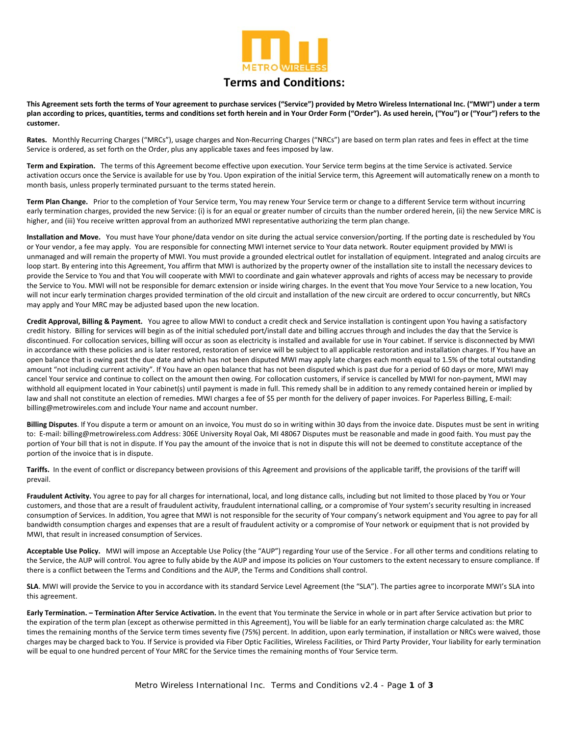

## **Terms and Conditions:**

This Agreement sets forth the terms of Your agreement to purchase services ("Service") provided by Metro Wireless International Inc. ("MWI") under a term plan according to prices, quantities, terms and conditions set forth herein and in Your Order Form ("Order"). As used herein, ("You") or ("Your") refers to the **customer.**

Rates. Monthly Recurring Charges ("MRCs"), usage charges and Non-Recurring Charges ("NRCs") are based on term plan rates and fees in effect at the time Service is ordered, as set forth on the Order, plus any applicable taxes and fees imposed by law.

Term and Expiration. The terms of this Agreement become effective upon execution. Your Service term begins at the time Service is activated. Service activation occurs once the Service is available for use by You. Upon expiration of the initial Service term, this Agreement will automatically renew on a month to month basis, unless properly terminated pursuant to the terms stated herein.

**Term Plan Change.** Prior to the completion of Your Service term, You may renew Your Service term or change to a different Service term without incurring early termination charges, provided the new Service: (i) is for an equal or greater number of circuits than the number ordered herein, (ii) the new Service MRC is higher, and (iii) You receive written approval from an authorized MWI representative authorizing the term plan change.

**Installation and Move.** You must have Your phone/data vendor on site during the actual service conversion/porting. If the porting date is rescheduled by You or Your vendor, a fee may apply. You are responsible for connecting MWI internet service to Your data network. Router equipment provided by MWI is unmanaged and will remain the property of MWI. You must provide a grounded electrical outlet for installation of equipment. Integrated and analog circuits are loop start. By entering into this Agreement, You affirm that MWI is authorized by the property owner of the installation site to install the necessary devices to provide the Service to You and that You will cooperate with MWI to coordinate and gain whatever approvals and rights of access may be necessary to provide the Service to You. MWI will not be responsible for demarc extension or inside wiring charges. In the event that You move Your Service to a new location, You will not incur early termination charges provided termination of the old circuit and installation of the new circuit are ordered to occur concurrently, but NRCs may apply and Your MRC may be adjusted based upon the new location.

**Credit Approval, Billing & Payment.** You agree to allow MWI to conduct a credit check and Service installation is contingent upon You having a satisfactory credit history. Billing for services will begin as of the initial scheduled port/install date and billing accrues through and includes the day that the Service is discontinued. For collocation services, billing will occur as soon as electricity is installed and available for use in Your cabinet. If service is disconnected by MWI in accordance with these policies and is later restored, restoration of service will be subject to all applicable restoration and installation charges. If You have an open balance that is owing past the due date and which has not been disputed MWI may apply late charges each month equal to 1.5% of the total outstanding amount "not including current activity". If You have an open balance that has not been disputed which is past due for a period of 60 days or more, MWI may cancel Your service and continue to collect on the amount then owing. For collocation customers, if service is cancelled by MWI for non-payment, MWI may withhold all equipment located in Your cabinet(s) until payment is made in full. This remedy shall be in addition to any remedy contained herein or implied by law and shall not constitute an election of remedies. MWI charges a fee of \$5 per month for the delivery of paper invoices. For Paperless Billing, E-mail: billing@metrowireles.com and include Your name and account number.

**Billing Disputes**. If You dispute a term or amount on an invoice, You must do so in writing within 30 days from the invoice date. Disputes must be sent in writing to: E-mail: billing@metrowireless.com Address: 306E University Royal Oak, MI 48067 Disputes must be reasonable and made in good faith. You must pay the portion of Your bill that is not in dispute. If You pay the amount of the invoice that is not in dispute this will not be deemed to constitute acceptance of the portion of the invoice that is in dispute.

Tariffs. In the event of conflict or discrepancy between provisions of this Agreement and provisions of the applicable tariff, the provisions of the tariff will prevail.

**Fraudulent Activity.** You agree to pay for all charges for international, local, and long distance calls, including but not limited to those placed by You or Your customers, and those that are a result of fraudulent activity, fraudulent international calling, or a compromise of Your system's security resulting in increased consumption of Services. In addition, You agree that MWI is not responsible for the security of Your company's network equipment and You agree to pay for all bandwidth consumption charges and expenses that are a result of fraudulent activity or a compromise of Your network or equipment that is not provided by MWI, that result in increased consumption of Services.

Acceptable Use Policy. MWI will impose an Acceptable Use Policy (the "AUP") regarding Your use of the Service . For all other terms and conditions relating to the Service, the AUP will control. You agree to fully abide by the AUP and impose its policies on Your customers to the extent necessary to ensure compliance. If there is a conflict between the Terms and Conditions and the AUP, the Terms and Conditions shall control.

**SLA**. MWI will provide the Service to you in accordance with its standard Service Level Agreement (the "SLA"). The parties agree to incorporate MWI's SLA into this agreement.

**Early Termination. – Termination After Service Activation.** In the event that You terminate the Service in whole or in part after Service activation but prior to the expiration of the term plan (except as otherwise permitted in this Agreement), You will be liable for an early termination charge calculated as: the MRC times the remaining months of the Service term times seventy five (75%) percent. In addition, upon early termination, if installation or NRCs were waived, those charges may be charged back to You. If Service is provided via Fiber Optic Facilities, Wireless Facilities, or Third Party Provider, Your liability for early termination will be equal to one hundred percent of Your MRC for the Service times the remaining months of Your Service term.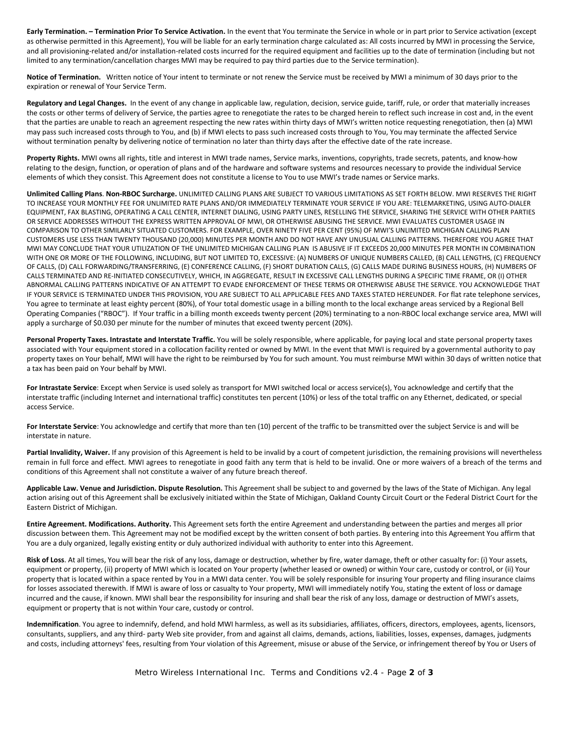**Early Termination. – Termination Prior To Service Activation.** In the event that You terminate the Service in whole or in part prior to Service activation (except as otherwise permitted in this Agreement), You will be liable for an early termination charge calculated as: All costs incurred by MWI in processing the Service, and all provisioning‐related and/or installation‐related costs incurred for the required equipment and facilities up to the date of termination (including but not limited to any termination/cancellation charges MWI may be required to pay third parties due to the Service termination).

Notice of Termination. Written notice of Your intent to terminate or not renew the Service must be received by MWI a minimum of 30 days prior to the expiration or renewal of Your Service Term.

**Regulatory and Legal Changes.** In the event of any change in applicable law, regulation, decision, service guide, tariff, rule, or order that materially increases the costs or other terms of delivery of Service, the parties agree to renegotiate the rates to be charged herein to reflect such increase in cost and, in the event that the parties are unable to reach an agreement respecting the new rates within thirty days of MWI's written notice requesting renegotiation, then (a) MWI may pass such increased costs through to You, and (b) if MWI elects to pass such increased costs through to You, You may terminate the affected Service without termination penalty by delivering notice of termination no later than thirty days after the effective date of the rate increase.

**Property Rights.** MWI owns all rights, title and interest in MWI trade names, Service marks, inventions, copyrights, trade secrets, patents, and know‐how relating to the design, function, or operation of plans and of the hardware and software systems and resources necessary to provide the individual Service elements of which they consist. This Agreement does not constitute a license to You to use MWI's trade names or Service marks.

**Unlimited Calling Plans**. **Non‐RBOC Surcharge.** UNLIMITED CALLING PLANS ARE SUBJECT TO VARIOUS LIMITATIONS AS SET FORTH BELOW. MWI RESERVES THE RIGHT TO INCREASE YOUR MONTHLY FEE FOR UNLIMITED RATE PLANS AND/OR IMMEDIATELY TERMINATE YOUR SERVICE IF YOU ARE: TELEMARKETING, USING AUTO‐DIALER EQUIPMENT, FAX BLASTING, OPERATING A CALL CENTER, INTERNET DIALING, USING PARTY LINES, RESELLING THE SERVICE, SHARING THE SERVICE WITH OTHER PARTIES OR SERVICE ADDRESSES WITHOUT THE EXPRESS WRITTEN APPROVAL OF MWI, OR OTHERWISE ABUSING THE SERVICE. MWI EVALUATES CUSTOMER USAGE IN COMPARISON TO OTHER SIMILARLY SITUATED CUSTOMERS. FOR EXAMPLE, OVER NINETY FIVE PER CENT (95%) OF MWI'S UNLIMITED MICHIGAN CALLING PLAN CUSTOMERS USE LESS THAN TWENTY THOUSAND (20,000) MINUTES PER MONTH AND DO NOT HAVE ANY UNUSUAL CALLING PATTERNS. THEREFORE YOU AGREE THAT MWI MAY CONCLUDE THAT YOUR UTILIZATION OF THE UNLIMITED MICHIGAN CALLING PLAN IS ABUSIVE IF IT EXCEEDS 20,000 MINUTES PER MONTH IN COMBINATION WITH ONE OR MORE OF THE FOLLOWING, INCLUDING, BUT NOT LIMITED TO, EXCESSIVE: (A) NUMBERS OF UNIQUE NUMBERS CALLED, (B) CALL LENGTHS, (C) FREQUENCY OF CALLS, (D) CALL FORWARDING/TRANSFERRING, (E) CONFERENCE CALLING, (F) SHORT DURATION CALLS, (G) CALLS MADE DURING BUSINESS HOURS, (H) NUMBERS OF CALLS TERMINATED AND RE‐INITIATED CONSECUTIVELY, WHICH, IN AGGREGATE, RESULT IN EXCESSIVE CALL LENGTHS DURING A SPECIFIC TIME FRAME, OR (I) OTHER ABNORMAL CALLING PATTERNS INDICATIVE OF AN ATTEMPT TO EVADE ENFORCEMENT OF THESE TERMS OR OTHERWISE ABUSE THE SERVICE. YOU ACKNOWLEDGE THAT IF YOUR SERVICE IS TERMINATED UNDER THIS PROVISION, YOU ARE SUBJECT TO ALL APPLICABLE FEES AND TAXES STATED HEREUNDER. For flat rate telephone services, You agree to terminate at least eighty percent (80%), of Your total domestic usage in a billing month to the local exchange areas serviced by a Regional Bell Operating Companies ("RBOC"). If Your traffic in a billing month exceeds twenty percent (20%) terminating to a non‐RBOC local exchange service area, MWI will apply a surcharge of \$0.030 per minute for the number of minutes that exceed twenty percent (20%).

**Personal Property Taxes. Intrastate and Interstate Traffic.** You will be solely responsible, where applicable, for paying local and state personal property taxes associated with Your equipment stored in a collocation facility rented or owned by MWI. In the event that MWI is required by a governmental authority to pay property taxes on Your behalf, MWI will have the right to be reimbursed by You for such amount. You must reimburse MWI within 30 days of written notice that a tax has been paid on Your behalf by MWI.

**For Intrastate Service**: Except when Service is used solely as transport for MWI switched local or access service(s), You acknowledge and certify that the interstate traffic (including Internet and international traffic) constitutes ten percent (10%) or less of the total traffic on any Ethernet, dedicated, or special access Service.

**For Interstate Service**: You acknowledge and certify that more than ten (10) percent of the traffic to be transmitted over the subject Service is and will be interstate in nature.

**Partial Invalidity, Waiver.** If any provision of this Agreement is held to be invalid by a court of competent jurisdiction, the remaining provisions will nevertheless remain in full force and effect. MWI agrees to renegotiate in good faith any term that is held to be invalid. One or more waivers of a breach of the terms and conditions of this Agreement shall not constitute a waiver of any future breach thereof.

**Applicable Law. Venue and Jurisdiction. Dispute Resolution.** This Agreement shall be subject to and governed by the laws of the State of Michigan. Any legal action arising out of this Agreement shall be exclusively initiated within the State of Michigan, Oakland County Circuit Court or the Federal District Court for the Eastern District of Michigan.

**Entire Agreement. Modifications. Authority.** This Agreement sets forth the entire Agreement and understanding between the parties and merges all prior discussion between them. This Agreement may not be modified except by the written consent of both parties. By entering into this Agreement You affirm that You are a duly organized, legally existing entity or duly authorized individual with authority to enter into this Agreement.

**Risk of Loss**. At all times, You will bear the risk of any loss, damage or destruction, whether by fire, water damage, theft or other casualty for: (i) Your assets, equipment or property, (ii) property of MWI which is located on Your property (whether leased or owned) or within Your care, custody or control, or (ii) Your property that is located within a space rented by You in a MWI data center. You will be solely responsible for insuring Your property and filing insurance claims for losses associated therewith. If MWI is aware of loss or casualty to Your property, MWI will immediately notify You, stating the extent of loss or damage incurred and the cause, if known. MWI shall bear the responsibility for insuring and shall bear the risk of any loss, damage or destruction of MWI's assets, equipment or property that is not within Your care, custody or control.

**Indemnification**. You agree to indemnify, defend, and hold MWI harmless, as well as its subsidiaries, affiliates, officers, directors, employees, agents, licensors, consultants, suppliers, and any third- party Web site provider, from and against all claims, demands, actions, liabilities, losses, expenses, damages, judgments and costs, including attorneys' fees, resulting from Your violation of this Agreement, misuse or abuse of the Service, or infringement thereof by You or Users of